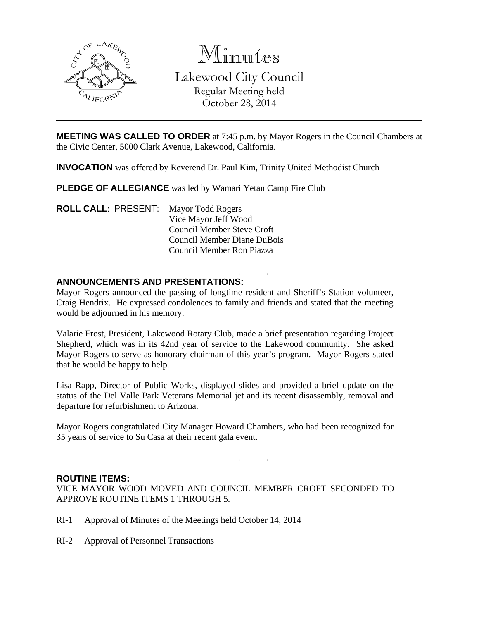

Minutes Lakewood City Council Regular Meeting held October 28, 2014

**MEETING WAS CALLED TO ORDER** at 7:45 p.m. by Mayor Rogers in the Council Chambers at the Civic Center, 5000 Clark Avenue, Lakewood, California.

**INVOCATION** was offered by Reverend Dr. Paul Kim, Trinity United Methodist Church

**PLEDGE OF ALLEGIANCE** was led by Wamari Yetan Camp Fire Club

**ROLL CALL**: PRESENT: Mayor Todd Rogers Vice Mayor Jeff Wood Council Member Steve Croft Council Member Diane DuBois Council Member Ron Piazza

### . . . **ANNOUNCEMENTS AND PRESENTATIONS:**

Mayor Rogers announced the passing of longtime resident and Sheriff's Station volunteer, Craig Hendrix. He expressed condolences to family and friends and stated that the meeting would be adjourned in his memory.

Valarie Frost, President, Lakewood Rotary Club, made a brief presentation regarding Project Shepherd, which was in its 42nd year of service to the Lakewood community. She asked Mayor Rogers to serve as honorary chairman of this year's program. Mayor Rogers stated that he would be happy to help.

Lisa Rapp, Director of Public Works, displayed slides and provided a brief update on the status of the Del Valle Park Veterans Memorial jet and its recent disassembly, removal and departure for refurbishment to Arizona.

Mayor Rogers congratulated City Manager Howard Chambers, who had been recognized for 35 years of service to Su Casa at their recent gala event.

. . .

### **ROUTINE ITEMS:**

VICE MAYOR WOOD MOVED AND COUNCIL MEMBER CROFT SECONDED TO APPROVE ROUTINE ITEMS 1 THROUGH 5.

- RI-1 Approval of Minutes of the Meetings held October 14, 2014
- RI-2 Approval of Personnel Transactions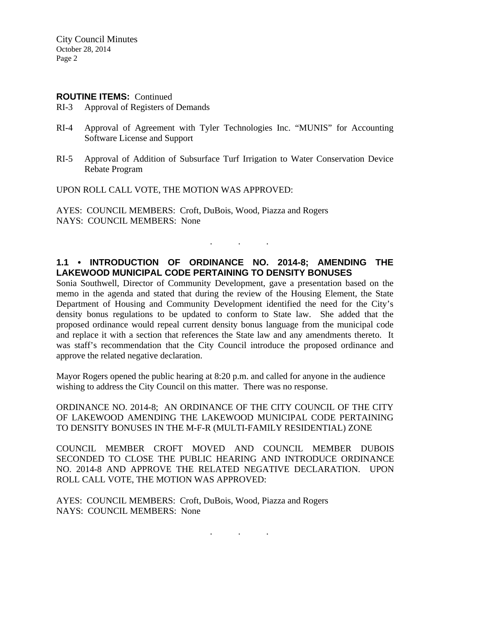### **ROUTINE ITEMS: Continued**

- RI-3 Approval of Registers of Demands
- RI-4 Approval of Agreement with Tyler Technologies Inc. "MUNIS" for Accounting Software License and Support
- RI-5 Approval of Addition of Subsurface Turf Irrigation to Water Conservation Device Rebate Program

UPON ROLL CALL VOTE, THE MOTION WAS APPROVED:

AYES: COUNCIL MEMBERS: Croft, DuBois, Wood, Piazza and Rogers NAYS: COUNCIL MEMBERS: None

## **1.1 • INTRODUCTION OF ORDINANCE NO. 2014-8; AMENDING THE LAKEWOOD MUNICIPAL CODE PERTAINING TO DENSITY BONUSES**

. . .

Sonia Southwell, Director of Community Development, gave a presentation based on the memo in the agenda and stated that during the review of the Housing Element, the State Department of Housing and Community Development identified the need for the City's density bonus regulations to be updated to conform to State law. She added that the proposed ordinance would repeal current density bonus language from the municipal code and replace it with a section that references the State law and any amendments thereto. It was staff's recommendation that the City Council introduce the proposed ordinance and approve the related negative declaration.

Mayor Rogers opened the public hearing at 8:20 p.m. and called for anyone in the audience wishing to address the City Council on this matter. There was no response.

ORDINANCE NO. 2014-8; AN ORDINANCE OF THE CITY COUNCIL OF THE CITY OF LAKEWOOD AMENDING THE LAKEWOOD MUNICIPAL CODE PERTAINING TO DENSITY BONUSES IN THE M-F-R (MULTI-FAMILY RESIDENTIAL) ZONE

COUNCIL MEMBER CROFT MOVED AND COUNCIL MEMBER DUBOIS SECONDED TO CLOSE THE PUBLIC HEARING AND INTRODUCE ORDINANCE NO. 2014-8 AND APPROVE THE RELATED NEGATIVE DECLARATION. UPON ROLL CALL VOTE, THE MOTION WAS APPROVED:

. . .

AYES: COUNCIL MEMBERS: Croft, DuBois, Wood, Piazza and Rogers NAYS: COUNCIL MEMBERS: None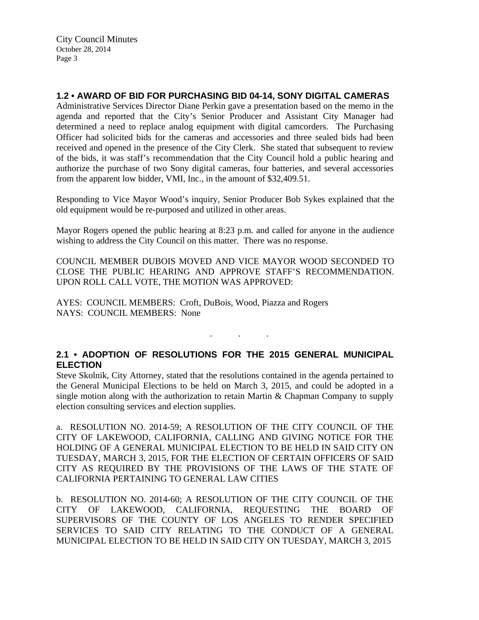## **1.2 • AWARD OF BID FOR PURCHASING BID 04-14, SONY DIGITAL CAMERAS**

Administrative Services Director Diane Perkin gave a presentation based on the memo in the agenda and reported that the City's Senior Producer and Assistant City Manager had determined a need to replace analog equipment with digital camcorders. The Purchasing Officer had solicited bids for the cameras and accessories and three sealed bids had been received and opened in the presence of the City Clerk. She stated that subsequent to review of the bids, it was staff's recommendation that the City Council hold a public hearing and authorize the purchase of two Sony digital cameras, four batteries, and several accessories from the apparent low bidder, VMI, Inc., in the amount of \$32,409.51.

Responding to Vice Mayor Wood's inquiry, Senior Producer Bob Sykes explained that the old equipment would be re-purposed and utilized in other areas.

Mayor Rogers opened the public hearing at 8:23 p.m. and called for anyone in the audience wishing to address the City Council on this matter. There was no response.

COUNCIL MEMBER DUBOIS MOVED AND VICE MAYOR WOOD SECONDED TO CLOSE THE PUBLIC HEARING AND APPROVE STAFF'S RECOMMENDATION. UPON ROLL CALL VOTE, THE MOTION WAS APPROVED:

AYES: COUNCIL MEMBERS: Croft, DuBois, Wood, Piazza and Rogers NAYS: COUNCIL MEMBERS: None

## **2.1 • ADOPTION OF RESOLUTIONS FOR THE 2015 GENERAL MUNICIPAL ELECTION**

. . .

Steve Skolnik, City Attorney, stated that the resolutions contained in the agenda pertained to the General Municipal Elections to be held on March 3, 2015, and could be adopted in a single motion along with the authorization to retain Martin & Chapman Company to supply election consulting services and election supplies.

a. RESOLUTION NO. 2014-59; A RESOLUTION OF THE CITY COUNCIL OF THE CITY OF LAKEWOOD, CALIFORNIA, CALLING AND GIVING NOTICE FOR THE HOLDING OF A GENERAL MUNICIPAL ELECTION TO BE HELD IN SAID CITY ON TUESDAY, MARCH 3, 2015, FOR THE ELECTION OF CERTAIN OFFICERS OF SAID CITY AS REQUIRED BY THE PROVISIONS OF THE LAWS OF THE STATE OF CALIFORNIA PERTAINING TO GENERAL LAW CITIES

b. RESOLUTION NO. 2014-60; A RESOLUTION OF THE CITY COUNCIL OF THE CITY OF LAKEWOOD, CALIFORNIA, REQUESTING THE BOARD OF SUPERVISORS OF THE COUNTY OF LOS ANGELES TO RENDER SPECIFIED SERVICES TO SAID CITY RELATING TO THE CONDUCT OF A GENERAL MUNICIPAL ELECTION TO BE HELD IN SAID CITY ON TUESDAY, MARCH 3, 2015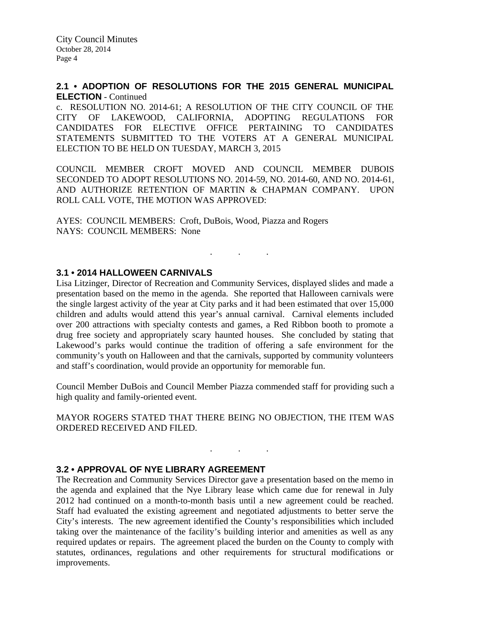### **2.1 • ADOPTION OF RESOLUTIONS FOR THE 2015 GENERAL MUNICIPAL ELECTION** - Continued

c. RESOLUTION NO. 2014-61; A RESOLUTION OF THE CITY COUNCIL OF THE CITY OF LAKEWOOD, CALIFORNIA, ADOPTING REGULATIONS FOR CANDIDATES FOR ELECTIVE OFFICE PERTAINING TO CANDIDATES STATEMENTS SUBMITTED TO THE VOTERS AT A GENERAL MUNICIPAL ELECTION TO BE HELD ON TUESDAY, MARCH 3, 2015

COUNCIL MEMBER CROFT MOVED AND COUNCIL MEMBER DUBOIS SECONDED TO ADOPT RESOLUTIONS NO. 2014-59, NO. 2014-60, AND NO. 2014-61, AND AUTHORIZE RETENTION OF MARTIN & CHAPMAN COMPANY. UPON ROLL CALL VOTE, THE MOTION WAS APPROVED:

AYES: COUNCIL MEMBERS: Croft, DuBois, Wood, Piazza and Rogers NAYS: COUNCIL MEMBERS: None

# . . .

## **3.1 • 2014 HALLOWEEN CARNIVALS**

Lisa Litzinger, Director of Recreation and Community Services, displayed slides and made a presentation based on the memo in the agenda. She reported that Halloween carnivals were the single largest activity of the year at City parks and it had been estimated that over 15,000 children and adults would attend this year's annual carnival. Carnival elements included over 200 attractions with specialty contests and games, a Red Ribbon booth to promote a drug free society and appropriately scary haunted houses. She concluded by stating that Lakewood's parks would continue the tradition of offering a safe environment for the community's youth on Halloween and that the carnivals, supported by community volunteers and staff's coordination, would provide an opportunity for memorable fun.

Council Member DuBois and Council Member Piazza commended staff for providing such a high quality and family-oriented event.

MAYOR ROGERS STATED THAT THERE BEING NO OBJECTION, THE ITEM WAS ORDERED RECEIVED AND FILED.

. . .

### **3.2 • APPROVAL OF NYE LIBRARY AGREEMENT**

The Recreation and Community Services Director gave a presentation based on the memo in the agenda and explained that the Nye Library lease which came due for renewal in July 2012 had continued on a month-to-month basis until a new agreement could be reached. Staff had evaluated the existing agreement and negotiated adjustments to better serve the City's interests. The new agreement identified the County's responsibilities which included taking over the maintenance of the facility's building interior and amenities as well as any required updates or repairs. The agreement placed the burden on the County to comply with statutes, ordinances, regulations and other requirements for structural modifications or improvements.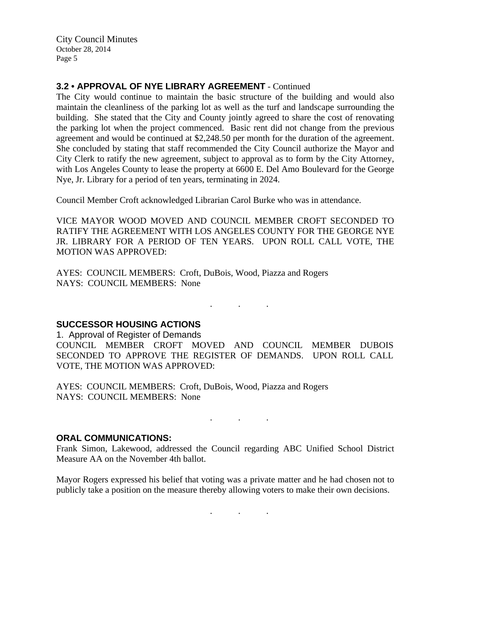## **3.2 • APPROVAL OF NYE LIBRARY AGREEMENT** - Continued

The City would continue to maintain the basic structure of the building and would also maintain the cleanliness of the parking lot as well as the turf and landscape surrounding the building. She stated that the City and County jointly agreed to share the cost of renovating the parking lot when the project commenced. Basic rent did not change from the previous agreement and would be continued at \$2,248.50 per month for the duration of the agreement. She concluded by stating that staff recommended the City Council authorize the Mayor and City Clerk to ratify the new agreement, subject to approval as to form by the City Attorney, with Los Angeles County to lease the property at 6600 E. Del Amo Boulevard for the George Nye, Jr. Library for a period of ten years, terminating in 2024.

Council Member Croft acknowledged Librarian Carol Burke who was in attendance.

VICE MAYOR WOOD MOVED AND COUNCIL MEMBER CROFT SECONDED TO RATIFY THE AGREEMENT WITH LOS ANGELES COUNTY FOR THE GEORGE NYE JR. LIBRARY FOR A PERIOD OF TEN YEARS. UPON ROLL CALL VOTE, THE MOTION WAS APPROVED:

AYES: COUNCIL MEMBERS: Croft, DuBois, Wood, Piazza and Rogers NAYS: COUNCIL MEMBERS: None

. . .

### **SUCCESSOR HOUSING ACTIONS**

1. Approval of Register of Demands COUNCIL MEMBER CROFT MOVED AND COUNCIL MEMBER DUBOIS SECONDED TO APPROVE THE REGISTER OF DEMANDS. UPON ROLL CALL VOTE, THE MOTION WAS APPROVED:

AYES: COUNCIL MEMBERS: Croft, DuBois, Wood, Piazza and Rogers NAYS: COUNCIL MEMBERS: None

. . .

#### **ORAL COMMUNICATIONS:**

Frank Simon, Lakewood, addressed the Council regarding ABC Unified School District Measure AA on the November 4th ballot.

Mayor Rogers expressed his belief that voting was a private matter and he had chosen not to publicly take a position on the measure thereby allowing voters to make their own decisions.

. . .